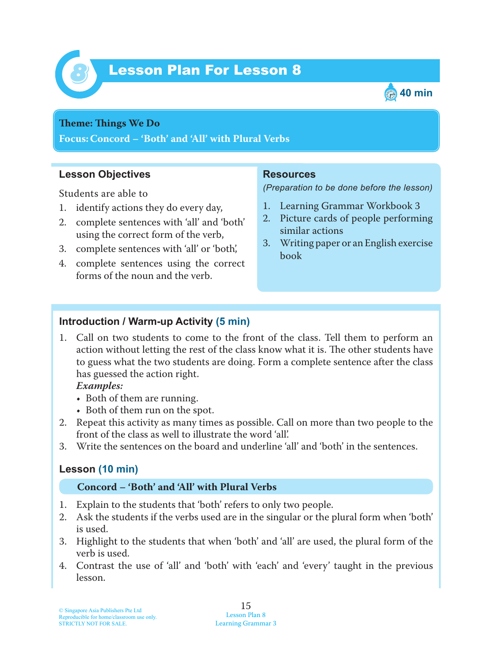



#### **Theme: Things We Do**

**Focus: Concord – 'Both' and 'All' with Plural Verbs**

### **Lesson Objectives**

Students are able to

- 1. identify actions they do every day,
- 2. complete sentences with 'all' and 'both' using the correct form of the verb,
- 3. complete sentences with 'all' or 'both',
- 4. complete sentences using the correct forms of the noun and the verb.

#### **Resources**

*(Preparation to be done before the lesson)*

- 1. Learning Grammar Workbook 3
- 2. Picture cards of people performing similar actions
- 3. Writing paper or an English exercise book

### **Introduction / Warm-up Activity (5 min)**

1. Call on two students to come to the front of the class. Tell them to perform an action without letting the rest of the class know what it is. The other students have to guess what the two students are doing. Form a complete sentence after the class has guessed the action right.

 *Examples:*

- Both of them are running.
- Both of them run on the spot.
- 2. Repeat this activity as many times as possible. Call on more than two people to the front of the class as well to illustrate the word 'all'.
- 3. Write the sentences on the board and underline 'all' and 'both' in the sentences.

### **Lesson (10 min)**

#### **Concord – 'Both' and 'All' with Plural Verbs**

- 1. Explain to the students that 'both' refers to only two people.
- 2. Ask the students if the verbs used are in the singular or the plural form when 'both' is used.
- 3. Highlight to the students that when 'both' and 'all' are used, the plural form of the verb is used.
- 4. Contrast the use of 'all' and 'both' with 'each' and 'every' taught in the previous lesson.